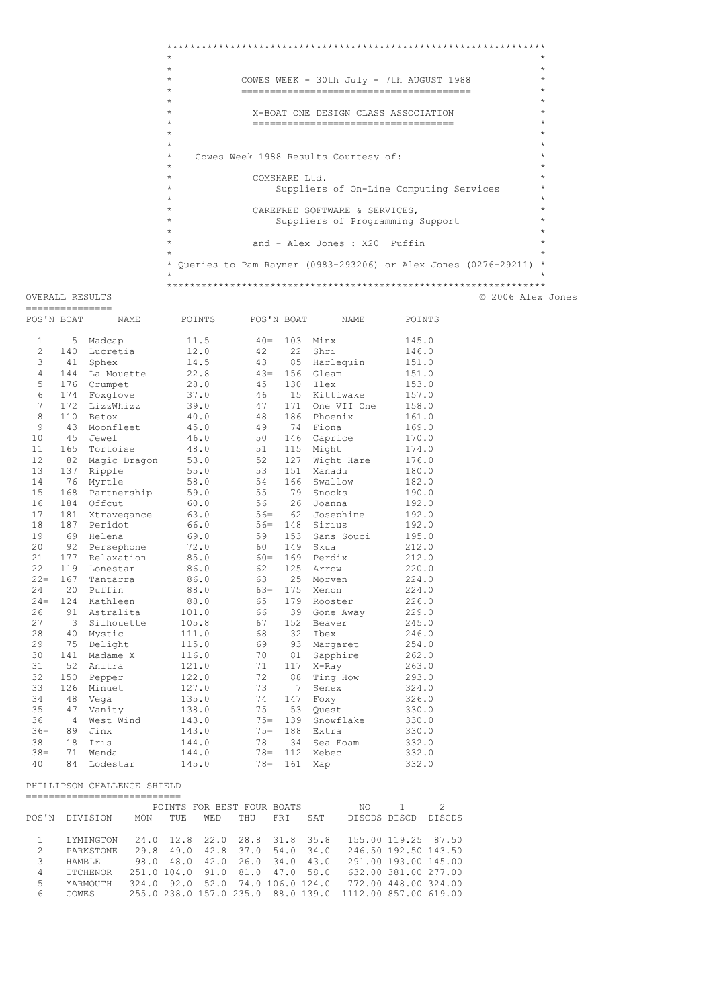```
\starCOWES WEEK - 30th July - 7th AUGUST 1988
                                                 \rightarrow\star\starX-BOAT ONE DESIGN CLASS ASSOCIATION
           -------------------------------------
                                                 \rightarrow\rightarrowCowes Week 1988 Results Courtesy of:
          COMSHARE Ltd.
             Suppliers of On-Line Computing Services
           CAREFREE SOFTWARE & SERVICES,
             Suppliers of Programming Support
           and - Alex Jones : X20 Puffin
* Queries to Pam Rayner (0983-293206) or Alex Jones (0276-29211) *
© 2006 Alex Jones
```
OVERALL RESULTS

 $\star$ 

 $\star$ 

 $\star$ 

 $\star$ 

 $\star$ 

 $\star$  $\star$ 

| --------------- |                |              |        |            |     |             |        |
|-----------------|----------------|--------------|--------|------------|-----|-------------|--------|
| POS'N BOAT      |                | NAME         | POINTS | POS'N BOAT |     | NAME        | POINTS |
| 1               | 5              | Madcap       | 11.5   | $40=$      | 103 | Minx        | 145.0  |
| $\overline{c}$  | 140            | Lucretia     | 12.0   | 42         | 22  | Shri        | 146.0  |
| 3               | 41             | Sphex        | 14.5   | 43         | 85  | Harlequin   | 151.0  |
| 4               | 144            | La Mouette   | 22.8   | $43=$      | 156 | Gleam       | 151.0  |
| 5               | 176            | Crumpet      | 28.0   | 45         | 130 | Tlex        | 153.0  |
| 6               | 174            | Foxglove     | 37.0   | 46         | 15  | Kittiwake   | 157.0  |
| 7               | 172            | LizzWhizz    | 39.0   | 47         | 171 | One VII One | 158.0  |
| 8               | 110            | Betox        | 40.0   | 48         | 186 | Phoenix     | 161.0  |
| 9               | 43             | Moonfleet    | 45.0   | 49         | 74  | Fiona       | 169.0  |
| 10              | 45             | Jewel        | 46.0   | 50         | 146 | Caprice     | 170.0  |
| 11              | 165            | Tortoise     | 48.0   | 51         | 115 | Might       | 174.0  |
| 12              | 82             | Magic Dragon | 53.0   | 52         | 127 | Wight Hare  | 176.0  |
| 13              | 137            | Ripple       | 55.0   | 53         | 151 | Xanadu      | 180.0  |
| 14              | 76             | Myrtle       | 58.0   | 54         | 166 | Swallow     | 182.0  |
| 15              | 168            | Partnership  | 59.0   | 55         | 79  | Snooks      | 190.0  |
| 16              | 184            | Offcut       | 60.0   | 56         | 26  | Joanna      | 192.0  |
| 17              | 181            | Xtravegance  | 63.0   | $56=$      | 62  | Josephine   | 192.0  |
| 18              | 187            | Peridot      | 66.0   | $56=$      | 148 | Sirius      | 192.0  |
| 19              | 69             | Helena       | 69.0   | 59         | 153 | Sans Souci  | 195.0  |
| 20              | 92             | Persephone   | 72.0   | 60         | 149 | Skua        | 212.0  |
| 21              | 177            | Relaxation   | 85.0   | $60 =$     | 169 | Perdix      | 212.0  |
| 22              | 119            | Lonestar     | 86.0   | 62         | 125 | Arrow       | 220.0  |
| $2.2 =$         | 167            | Tantarra     | 86.0   | 63         | 25  | Morven      | 224.0  |
| 24              | 20             | Puffin       | 88.0   | $63 =$     | 175 | Xenon       | 224.0  |
| $24 =$          | 124            | Kathleen     | 88.0   | 65         | 179 | Rooster     | 226.0  |
| 26              | 91             | Astralita    | 101.0  | 66         | 39  | Gone Away   | 229.0  |
| 27              | 3              | Silhouette   | 105.8  | 67         | 152 | Beaver      | 245.0  |
| 28              | 40             | Mystic       | 111.0  | 68         | 32  | Ibex        | 246.0  |
| 29              | 75             | Delight      | 115.0  | 69         | 93  | Margaret    | 254.0  |
| 30              | 141            | Madame X     | 116.0  | 70         | 81  | Sapphire    | 262.0  |
| 31              | 52             | Anitra       | 121.0  | 71         | 117 | X-Ray       | 263.0  |
| 32              | 150            | Pepper       | 122.0  | 72         | 88  | Ting How    | 293.0  |
| 33              | 126            | Minuet       | 127.0  | 73         | 7   | Senex       | 324.0  |
| 34              | 48             | Vega         | 135.0  | 74         | 147 | Foxy        | 326.0  |
| 35              | 47             | Vanity       | 138.0  | 75         | 53  | Ouest       | 330.0  |
| 36              | $\overline{4}$ | West Wind    | 143.0  | $75 =$     | 139 | Snowflake   | 330.0  |
| $36 =$          | 89             | Jinx         | 143.0  | $75 =$     | 188 | Extra       | 330.0  |
| 38              | 18             | Iris         | 144.0  | 78         | 34  | Sea Foam    | 332.0  |
| $38 =$          | 71             | Wenda        | 144.0  | $78 =$     | 112 | Xebec       | 332.0  |
| 40              | 84             | Lodestar     | 145.0  | $78 =$     | 161 | Xap         | 332.0  |

## PHILLIPSON CHALLENGE SHIELD

|               |                  |            |                       |            | POINTS FOR BEST FOUR BOATS         |            |           | NO.                   |                      |                      |
|---------------|------------------|------------|-----------------------|------------|------------------------------------|------------|-----------|-----------------------|----------------------|----------------------|
| POS'N         | <b>DIVISION</b>  | <b>MON</b> | TUE.                  | <b>WED</b> | THU                                | <b>FRT</b> | SAT       | DISCDS DISCD          |                      | DISCDS               |
|               |                  |            |                       |            |                                    |            |           |                       |                      |                      |
|               | LYMINGTON        |            |                       |            | 24.0 12.8 22.0 28.8 31.8 35.8      |            |           |                       |                      | 155.00 119.25 87.50  |
| $\mathcal{L}$ | <b>PARKSTONE</b> | 29.8       | 49.0                  | 42.8       | 37.0 54.0 34.0                     |            |           |                       | 246.50 192.50 143.50 |                      |
| 3             | <b>HAMBLE</b>    |            |                       |            | 98.0 48.0 42.0 26.0 34.0           |            | 43.0      |                       |                      | 291.00 193.00 145.00 |
| 4             | <b>TTCHENOR</b>  |            | 251.0 104.0 91.0 81.0 |            |                                    |            | 47.0 58.0 |                       |                      | 632.00 381.00 277.00 |
| 5.            | YARMOUTH         |            |                       |            | 324.0 92.0 52.0 74.0 106.0 124.0   |            |           |                       | 772.00 448.00 324.00 |                      |
| 6             | COWES            |            |                       |            | 255.0 238.0 157.0 235.0 88.0 139.0 |            |           | 1112.00 857.00 619.00 |                      |                      |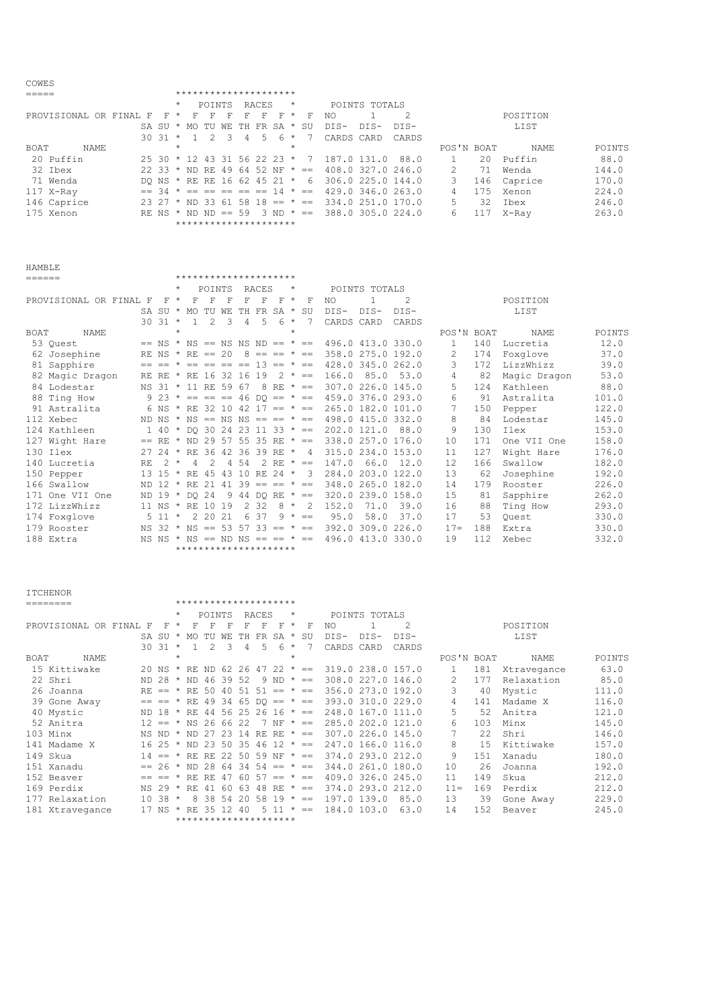| COWES                  |                                |           |                                            |               |                |    |       |                      |         |                |                   |               |                   |               |     |             |        |
|------------------------|--------------------------------|-----------|--------------------------------------------|---------------|----------------|----|-------|----------------------|---------|----------------|-------------------|---------------|-------------------|---------------|-----|-------------|--------|
|                        |                                |           | *********************                      |               |                |    |       |                      |         |                |                   |               |                   |               |     |             |        |
|                        |                                |           | $\star$                                    | POINTS        |                |    | RACES |                      | $\star$ |                |                   | POINTS TOTALS |                   |               |     |             |        |
| PROVISIONAL OR FINAL F |                                | $F \star$ | F                                          | F             | F              | F  | F.    | -F                   | $\star$ | F              | NO                |               |                   |               |     | POSITION    |        |
|                        |                                |           | SA SU * MO                                 | TU            | WF.            | TH |       | FR SA *              |         | SU             | DTS-              | DTS-          | DIS-              |               |     | LIST        |        |
|                        | $30.31$ *                      |           | $\sim$ 1                                   | $\mathcal{P}$ | $\overline{3}$ | 4  |       | $5 \t6 \t*$          |         | - 7            | CARDS CARD        |               | CARDS             |               |     |             |        |
| NAME<br><b>BOAT</b>    |                                |           | $\star$                                    |               |                |    |       |                      | $\star$ |                |                   |               |                   | POS'N BOAT    |     | <b>NAME</b> | POINTS |
| 20 Puffin              | 25 30 * 12 43 31 56 22 23 *    |           |                                            |               |                |    |       |                      |         | $\overline{7}$ | 187.0 131.0       |               | 88.0              |               | 20  | Puffin      | 88.0   |
| 32 Ibex                | 22 33 * ND RE 49 64 52 NF * == |           |                                            |               |                |    |       |                      |         |                | 408.0 327.0 246.0 |               |                   | $\mathcal{L}$ | 71  | Wenda       | 144.0  |
| 71 Wenda               | DO NS * RE RE 16 62 45 21 *    |           |                                            |               |                |    |       |                      |         | 6              | 306.0 225.0 144.0 |               |                   | 3             | 146 | Caprice     | 170.0  |
| 117 X-Ray              |                                |           | $== 34 \times == == == == == 14 \times ==$ |               |                |    |       |                      |         |                |                   |               | 429.0 346.0 263.0 | 4             | 175 | Xenon       | 224.0  |
| 146 Caprice            | $23\,27$ * ND 33 61            |           |                                            |               |                |    |       | $58$ 18 == $*$ ==    |         |                | 334.0 251.0 170.0 |               |                   | 5.            | 32. | Thex        | 246.0  |
| 175 Xenon              | RE NS $*$ ND ND == 59          |           |                                            |               |                |    |       | $3 \text{ ND } * ==$ |         |                | 388.0 305.0 224.0 |               |                   | 6             |     | X-Ray       | 263.0  |
|                        |                                |           | *********************                      |               |                |    |       |                      |         |                |                   |               |                   |               |     |             |        |

\*\*\*\*\*\*\*\*\*\*\*\*\*\*\*\*\*\*\*\*\*

| ____<br>× |  |
|-----------|--|

|      |                        |     |               | $\star$ |                                           | POINTS        |               |                | RACES           |             | $\star$ |                   |                                                         | POINTS TOTALS |                   |              |     |              |        |
|------|------------------------|-----|---------------|---------|-------------------------------------------|---------------|---------------|----------------|-----------------|-------------|---------|-------------------|---------------------------------------------------------|---------------|-------------------|--------------|-----|--------------|--------|
|      | PROVISIONAL OR FINAL F |     | F             | $\star$ | F                                         | F             | F             | F              | F               | F           | $\star$ | F                 | NO.                                                     |               | 2                 |              |     | POSITION     |        |
|      |                        |     |               |         | SA SU * MO TU WE                          |               |               |                | TH FR SA *      |             |         | SU                | $DTS-$                                                  | $DTS-$        | DTS-              |              |     | LIST         |        |
|      |                        |     | $30.31$ *     |         | $\overline{1}$                            | $\mathcal{L}$ | $\mathcal{L}$ | $\overline{4}$ | .5              | 6           | $\star$ |                   | CARDS CARD                                              |               | CARDS             |              |     |              |        |
| BOAT | <b>NAME</b>            |     |               | $\star$ |                                           |               |               |                |                 |             | $\star$ |                   |                                                         |               |                   | POS'N BOAT   |     | NAME         | POINTS |
|      | 53 Quest               |     |               |         | $== NS * NS == NS NS ND == * ==$          |               |               |                |                 |             |         |                   | 496.0 413.0 330.0                                       |               |                   | $\mathbf{1}$ | 140 | Lucretia     | 12.0   |
|      | 62 Josephine           |     |               |         | RE NS $*$ RE == 20                        |               |               |                |                 |             |         |                   | $8 == == * == 358.0 275.0 192.0$                        |               |                   | 2            | 174 | Foxglove     | 37.0   |
|      | 81 Sapphire            |     |               |         |                                           |               |               |                |                 |             |         |                   | $== == * == == == == 13 == * == 428.0345.0262.0$        |               |                   | 3            | 172 | LizzWhizz    | 39.0   |
|      | 82 Magic Dragon        |     |               |         | RE RE * RE 16 32 16                       |               |               |                | 19              |             |         | $2 * =$           | 166.0                                                   |               | 85.0 53.0         | 4            | 82  | Magic Dragon | 53.0   |
|      | 84 Lodestar            |     |               |         | NS 31 * 11 RE 59 67                       |               |               |                |                 | 8 RF $* ==$ |         |                   | 307.0 226.0 145.0                                       |               |                   | 5            | 124 | Kathleen     | 88.0   |
|      | 88 Ting How            |     |               |         | 9 23 $* == == 46$ DQ == $* ==$            |               |               |                |                 |             |         |                   |                                                         |               | 459.0 376.0 293.0 | 6            | 91  | Astralita    | 101.0  |
|      | 91 Astralita           |     |               |         |                                           |               |               |                |                 |             |         |                   | 6 NS * RE 32 10 42 17 == * == 265.0 182.0 101.0         |               |                   | 7            | 150 | Pepper       | 122.0  |
|      | 112 Xebec              |     |               |         |                                           |               |               |                |                 |             |         |                   | ND NS * NS == NS NS == == * == 498.0 415.0 332.0        |               |                   | 8            | 84  | Lodestar     | 145.0  |
|      | 124 Kathleen           |     |               |         |                                           |               |               |                |                 |             |         |                   | $1$ 40 $\star$ DO 30 24 23 11 33 $\star$ == 202.0 121.0 |               | 88.0              | 9            | 130 | Ilex         | 153.0  |
|      | 127 Wight Hare         |     |               |         |                                           |               |               |                |                 |             |         |                   | $==$ RE * ND 29 57 55 35 RE * == 338.0 257.0 176.0      |               |                   | 10           | 171 | One VII One  | 158.0  |
|      | 130 Ilex               |     |               |         |                                           |               |               |                |                 |             |         |                   | 27 24 * RE 36 42 36 39 RE * 4 315.0 234.0 153.0         |               |                   | 11           | 127 | Wight Hare   | 176.0  |
|      | 140 Lucretia           | RE. | $2 *$         |         | $\overline{4}$                            | $2^{1}$       |               | 4 5 4          |                 | 2 RE $* ==$ |         |                   | 147.0                                                   |               | 66.0 12.0         | 12.          | 166 | Swallow      | 182.0  |
|      | 150 Pepper             |     |               |         | 13 15 $\star$ RE 45 43 10 RE 24 $\star$ 3 |               |               |                |                 |             |         |                   |                                                         |               | 284.0 203.0 122.0 | 13           | 62  | Josephine    | 192.0  |
|      | 166 Swallow            |     | ND 12 $\star$ |         | RE 21                                     |               | 41            |                | $39 == == * ==$ |             |         |                   |                                                         |               | 348.0 265.0 182.0 | 14           | 179 | Rooster      | 226.0  |
|      | 171 One VII One        |     |               |         | ND 19 * DO 24                             |               |               |                |                 |             |         | 9 44 DO RE $* ==$ |                                                         |               | 320.0 239.0 158.0 | 15           | 81  | Sapphire     | 262.0  |
|      | 172 LizzWhizz          |     |               |         | 11 NS * RE 10 19                          |               |               |                | 2 3 2           | $8 *$       |         | -2                | 152.0                                                   | 71.0          | 39.0              | 16           | 88  | Ting How     | 293.0  |
|      | 174 Foxglove           |     | $5 \t11 \t$   |         |                                           | 2 20 21       |               | 6              | -37             |             |         | $9 * =$           | 95.0                                                    | 58.0          | 37.0              | 17           | 53  | Ouest        | 330.0  |
|      | 179 Rooster            |     |               |         | NS 32 $*$ NS == 53 57 33 == $*$ ==        |               |               |                |                 |             |         |                   |                                                         |               | 392.0 309.0 226.0 | $17 =$       | 188 | Extra        | 330.0  |
|      | 188 Extra              |     |               |         | NS NS $*$ NS == ND NS == == $*$ ==        |               |               |                |                 |             |         |                   |                                                         |               | 496.0 413.0 330.0 | 19           | 112 | Xebec        | 332.0  |
|      |                        |     |               |         | *********************                     |               |               |                |                 |             |         |                   |                                                         |               |                   |              |     |              |        |

| <b>ITCHENOR</b>        |                                |              |                       |                          |               |       |       |                          |            |              |                   |               |                   |                |     |             |        |
|------------------------|--------------------------------|--------------|-----------------------|--------------------------|---------------|-------|-------|--------------------------|------------|--------------|-------------------|---------------|-------------------|----------------|-----|-------------|--------|
| ========               |                                |              | ********************* |                          |               |       |       |                          |            |              |                   |               |                   |                |     |             |        |
|                        |                                | $\star$      |                       | POINTS                   |               |       | RACES |                          | $\star$    |              |                   | POINTS TOTALS |                   |                |     |             |        |
| PROVISIONAL OR FINAL F |                                | $\star$<br>F | F                     | F                        | F             | F     | F     | F                        | $^{\star}$ | F            | NO.               |               | $\mathcal{L}$     |                |     | POSITION    |        |
|                        | SA SU                          | $\star$      |                       | MO TU                    | WE            | TH    |       | FR SA *                  |            | SU           | DIS-              | DIS-          | DIS-              |                |     | LIST        |        |
|                        | $3031 *$                       |              | $\overline{1}$        | $2^{1}$                  | $\mathcal{E}$ | 4     | 5     | 6                        | $\star$    |              | CARDS CARD        |               | CARDS             |                |     |             |        |
| BOAT<br>NAME           |                                | $\star$      |                       |                          |               |       |       |                          | $\star$    |              |                   |               |                   | POS'N BOAT     |     | NAME        | POINTS |
| 15 Kittiwake           | 20 NS * RE ND 62 26 47 22 * == |              |                       |                          |               |       |       |                          |            |              | 319.0 238.0 157.0 |               |                   | $\mathbf{1}$   | 181 | Xtravegance | 63.0   |
| 22 Shri                | ND 28 $*$ ND 46 39 52          |              |                       |                          |               |       |       | $9 \text{ ND } \star ==$ |            |              |                   |               | 308.0 227.0 146.0 | $\mathcal{L}$  | 177 | Relaxation  | 85.0   |
| 26 Joanna              | $RE =$ $*$                     |              |                       | RE 50 40 51 51 == $* ==$ |               |       |       |                          |            |              | 356.0 273.0 192.0 |               |                   | 3              | 40  | Mystic      | 111.0  |
| 39 Gone Away           | $== == *$                      |              |                       | RE 49 34 65 DO == $* ==$ |               |       |       |                          |            |              |                   |               | 393.0 310.0 229.0 | $\overline{4}$ | 141 | Madame X    | 116.0  |
| 40 Mystic              | ND 18 * RE 44 56 25 26 16 * == |              |                       |                          |               |       |       |                          |            |              | 248.0 167.0 111.0 |               |                   | 5              | 52  | Anitra      | 121.0  |
| 52 Anitra              | $12 == * NS 26 66 22$          |              |                       |                          |               |       |       | 7 NF $* ==$              |            |              |                   |               | 285.0 202.0 121.0 | 6              | 103 | Minx        | 145.0  |
| 103 Minx               | NS ND                          | $\star$      | ND                    | 2.7                      | 23 14         |       | RE RE |                          |            | $\star$ $=$  |                   |               | 307.0 226.0 145.0 |                | 22  | Shri        | 146.0  |
| 141 Madame X           | 16 25 * ND 23 50 35 46 12 * == |              |                       |                          |               |       |       |                          |            |              |                   |               | 247.0 166.0 116.0 | 8              | 15  | Kittiwake   | 157.0  |
| 149 Skua               | $14 == * RE RE 22 50 59 NF$    |              |                       |                          |               |       |       |                          |            | $\star$ $==$ |                   |               | 374.0 293.0 212.0 | 9              | 151 | Xanadu      | 180.0  |
| 151 Xanadu             | $== 26 * ND 28 64$             |              |                       |                          |               |       |       | $34\,54 == * ==$         |            |              |                   |               | 344.0 261.0 180.0 | 10             | 26  | Joanna      | 192.0  |
| 152 Beaver             | $== = =$                       | $\star$      | RF.                   | RF.                      | 47            |       |       | $60\,57 == * ==$         |            |              |                   |               | 409.0 326.0 245.0 | 11             | 149 | Skua        | 212.0  |
| 169 Perdix             | NS 29 $*$                      |              | RE                    | 41                       | 60            | 63    |       | 48 RE $* ==$             |            |              |                   |               | 374.0 293.0 212.0 | $11 =$         | 169 | Perdix      | 212.0  |
| 177 Relaxation         | $10.38$ *                      |              | 8                     | 38 54                    |               | 20 58 |       | 19                       |            | $\star$ $==$ | 197.0 139.0       |               | 85.0              | 13             | 39  | Gone Away   | 229.0  |
| 181 Xtravegance        | 17 NS                          |              | RE.                   | 35                       | 12            | 40    |       | 5 1 1                    | $\star$    | $=$          | 184.0 103.0       |               | 63.0              | 14             | 152 | Beaver      | 245.0  |
|                        |                                |              | ********************* |                          |               |       |       |                          |            |              |                   |               |                   |                |     |             |        |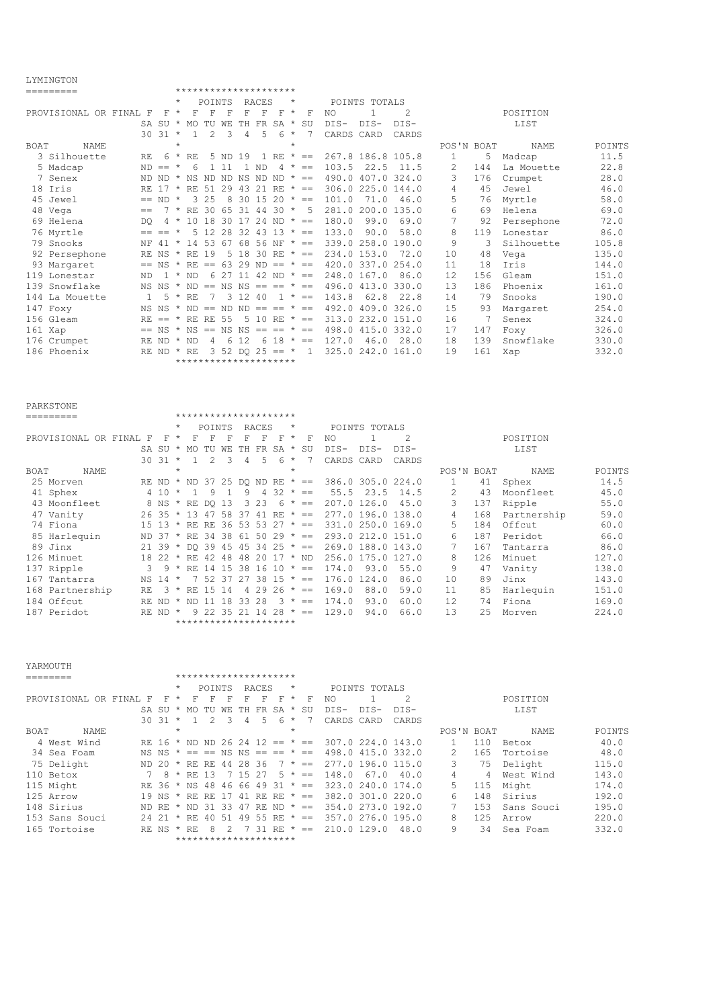## LYMINGTON

|             | TTM TIMA TAIM          |                |            |         |                                         |                |         |                               |       |                |         |                                            |                                  |               |                   |              |     |            |        |
|-------------|------------------------|----------------|------------|---------|-----------------------------------------|----------------|---------|-------------------------------|-------|----------------|---------|--------------------------------------------|----------------------------------|---------------|-------------------|--------------|-----|------------|--------|
|             | =========              |                |            |         | *********************                   |                |         |                               |       |                |         |                                            |                                  |               |                   |              |     |            |        |
|             |                        |                |            | $\star$ |                                         | POINTS         |         |                               | RACES |                | $\star$ |                                            |                                  | POINTS TOTALS |                   |              |     |            |        |
|             | PROVISIONAL OR FINAL F |                | F          | $\star$ | F                                       | F              | F       | F                             | F     | F              | $\star$ | F                                          | NO.                              |               | 2                 |              |     | POSITION   |        |
|             |                        |                |            |         | SA SU * MO TU WE                        |                |         | TH FR SA *                    |       |                |         | SU                                         | $DIS-$                           | $DIS-$        | DTS-              |              |     | LIST       |        |
|             |                        |                | $30.31$ *  |         | -1.                                     | $\mathcal{L}$  | २       | $\overline{4}$                | 5     | 6              | $\star$ | 7                                          | CARDS CARD                       |               | CARDS             |              |     |            |        |
| <b>BOAT</b> | NAME                   |                |            | $\star$ |                                         |                |         |                               |       |                | $\star$ |                                            |                                  |               |                   | POS'N BOAT   |     | NAME       | POINTS |
|             | 3 Silhouette           | RF.            | 6          |         | $*$ RF.                                 |                | 5 ND 19 |                               |       |                |         | $1$ RE $* ==$                              |                                  |               | 267.8 186.8 105.8 | $\mathbf{1}$ | 5   | Madcap     | 11.5   |
|             | 5 Madcap               |                | $ND == *$  |         | 6                                       |                | 111     | -1.                           | ND.   | $\overline{4}$ | $\star$ | $= -$                                      | 103.5                            | 22.5          | 11.5              | 2            | 144 | La Mouette | 22.8   |
|             | 7 Senex                |                | ND ND *    |         | NS ND ND NS ND ND $* ==$                |                |         |                               |       |                |         |                                            |                                  |               | 490.0 407.0 324.0 | 3            | 176 | Crumpet    | 28.0   |
|             | 18 Iris                |                | RF. 17 *   |         |                                         |                |         | RE 51 29 43 21 RE $* ==$      |       |                |         |                                            |                                  |               | 306.0 225.0 144.0 | 4            | 45  | Jewel      | 46.0   |
|             | 45 Jewel               |                | $== ND *$  |         |                                         | 3 25           |         | 8 30 15 20 $* ==$             |       |                |         |                                            | 101.0                            | 71.0          | 46.0              | 5.           | 76  | Myrtle     | 58.0   |
|             | 48 Vega                | $=$            |            |         | $7 * RR$ 30 65 31 44 30 $*$             |                |         |                               |       |                |         | -5                                         |                                  |               | 281.0 200.0 135.0 | 6            | 69  | Helena     | 69.0   |
|             | 69 Helena              | <b>DO</b>      |            |         | $4 * 10 18 30 17 24 ND * =$             |                |         |                               |       |                |         |                                            | 180.0                            | 99.0          | 69.0              | 7            | 92  | Persephone | 72.0   |
|             | 76 Myrtle              |                | $== == *$  |         |                                         |                |         | $5$ 12 28 32 43 13 $\star$ == |       |                |         |                                            | 133.0                            | 90.0          | 58.0              | 8            | 119 | Lonestar   | 86.0   |
|             | 79 Snooks              |                | NF $41$ *  |         | 14 53 67 68 56 NF $* ==$                |                |         |                               |       |                |         |                                            | 339.0 258.0 190.0                |               |                   | 9            | -3  | Silhouette | 105.8  |
|             | 92 Persephone          |                |            |         | RE NS * RE 19                           |                |         |                               |       |                |         | 5 18 30 RE $* ==$                          |                                  | 234.0 153.0   | 72.0              | 10           | 48  | Vega       | 135.0  |
|             | 93 Margaret            |                |            |         |                                         |                |         |                               |       |                |         | $==$ NS $*$ RE $==$ 63 29 ND $==$ $*$ $==$ |                                  |               | 420.0 337.0 254.0 | 11           | 18  | Iris       | 144.0  |
|             | 119 Lonestar           | ND.            |            |         | $1 * ND$                                |                |         | 6 27 11 42 ND $* ==$          |       |                |         |                                            |                                  | 248.0 167.0   | 86.0              | 12           | 156 | Gleam      | 151.0  |
|             | 139 Snowflake          |                |            |         | NS NS $*$ ND == NS NS == == $*$ ==      |                |         |                               |       |                |         |                                            |                                  |               | 496.0 413.0 330.0 | 13           | 186 | Phoenix    | 161.0  |
|             | 144 La Mouette         | $\overline{1}$ |            |         | $5 * RR$                                | 7              |         | 3 1 2 4 0                     |       |                |         | $1 * =$                                    | 143.8                            | 62.8          | 22.8              | 14           | 79  | Snooks     | 190.0  |
|             | 147 Foxy               |                |            |         | NS NS $*$ ND == ND ND == == $*$ ==      |                |         |                               |       |                |         |                                            |                                  |               | 492.0 409.0 326.0 | 15           | 93  | Margaret   | 254.0  |
|             | 156 Gleam              | RE.            |            |         | $== * RR RR 55$                         |                |         |                               |       |                |         |                                            | $5$ 10 RE $* == 313.0232.0151.0$ |               |                   | 16           | 7   | Senex      | 324.0  |
|             | $161$ Xap              |                |            |         | $==$ NS $*$ NS $==$ NS NS $==$ $*$ $==$ |                |         |                               |       |                |         |                                            |                                  |               | 498.0 415.0 332.0 | 17           | 147 | Foxy       | 326.0  |
|             | 176 Crumpet            |                | RE ND      |         | * ND                                    | $\overline{4}$ | 6       | 12                            |       |                |         | $618 * ==$                                 | 127.0                            | 46.0          | 28.0              | 18           | 139 | Snowflake  | 330.0  |
|             | 186 Phoenix            |                | RE ND * RE |         |                                         |                |         | 3 52 DO 25 == $*$             |       |                |         | $\overline{1}$                             |                                  |               | 325.0 242.0 161.0 | 19           | 161 | Xap        | 332.0  |
|             |                        |                |            |         | *********************                   |                |         |                               |       |                |         |                                            |                                  |               |                   |              |     |            |        |

|             | <b>PARKSTONE</b>       |     |       |         |                                |        |     |    |                       |                      |            |             |               |               |                   |               |     |             |        |
|-------------|------------------------|-----|-------|---------|--------------------------------|--------|-----|----|-----------------------|----------------------|------------|-------------|---------------|---------------|-------------------|---------------|-----|-------------|--------|
|             | ________               |     |       |         | *********************          |        |     |    |                       |                      |            |             |               |               |                   |               |     |             |        |
|             |                        |     |       | $\star$ |                                | POINTS |     |    | RACES                 |                      | $\star$    |             |               | POINTS TOTALS |                   |               |     |             |        |
|             | PROVISIONAL OR FINAL F |     | F     | $\star$ | F                              | F      | F   | F  | F                     | F                    | $^{\star}$ | F           | NO.           |               | 2                 |               |     | POSITION    |        |
|             |                        |     | SA SU | $\star$ | MO                             | TU     | WF. | TН | FR.                   | SA                   | $\star$    | SU          | $DIS-$        | DIS-          | DIS-              |               |     | LIST        |        |
|             |                        | 30  | 31    | $\star$ |                                | 2      | 3   | 4  | 5                     | 6                    | $\star$    |             | CARDS         | CARD          | CARDS             |               |     |             |        |
| <b>BOAT</b> | NAME                   |     |       | $\star$ |                                |        |     |    |                       |                      | $\star$    |             |               |               |                   | POS'N BOAT    |     | NAME        | POINTS |
|             | 25 Morven              |     |       |         | RE ND * ND 37 25 DO ND RE * == |        |     |    |                       |                      |            |             |               |               | 386.0 305.0 224.0 |               | 41  | Sphex       | 14.5   |
|             | 41 Sphex               |     | 4 1 0 | $\star$ |                                | 9      |     | 9  | 4                     |                      |            | $32 * ==$   | 55.5          | 23.5          | 14.5              | $\mathcal{L}$ | 43  | Moonfleet   | 45.0   |
|             | 43 Moonfleet           |     | 8 NS  | $\star$ | RE                             | DO 13  |     | 3  | 23                    |                      |            | $6 * ==$    | $207.0$ 126.0 |               | 45.0              | 3             | 137 | Ripple      | 55.0   |
|             | 47 Vanity              |     | 26 35 | $\star$ | 13                             | 47     | 58  | 37 | 41                    | RE.                  |            | $\star$ $=$ |               |               | 277.0 196.0 138.0 | 4             | 168 | Partnership | 59.0   |
|             | 74 Fiona               |     | 15 13 | $\star$ |                                | RE RE  |     |    | $36\ 53\ 53\ 27$ * == |                      |            |             |               |               | 331.0 250.0 169.0 | 5.            | 184 | Offcut      | 60.0   |
|             | 85 Harlequin           | ND. | -37   | $\star$ | RE                             | 34 38  |     |    | $61\ 50\ 29$ * ==     |                      |            |             |               |               | 293.0 212.0 151.0 | 6             | 187 | Peridot     | 66.0   |
|             | 89 Jinx                |     | 21 39 | $\star$ |                                | DO 39  | 45  |    | $45$ 34 25 $\star$ == |                      |            |             |               |               | 269.0 188.0 143.0 | 7             | 167 | Tantarra    | 86.0   |
|             | 126 Minuet             |     | 18 22 | $\star$ | RE.                            | 42     | 48  | 48 | 2.0                   | $17 * ND$            |            |             | 256.0175.0    |               | 127.0             | 8             | 126 | Minuet      | 127.0  |
|             | 137 Ripple             | 3   | 9     | $\star$ | RF.                            | -14    | 1.5 | 38 | $1610*$               |                      |            | $=$         | 174.0         | 93.0          | 55.0              | 9             | 47  | Vanity      | 138.0  |
|             | 167 Tantarra           | NS. | -14   | $\star$ |                                | 52     | 37  | 27 |                       | $38 \t15 \t\t* \t==$ |            |             | 176.0         | 124.0         | 86.0              | 10            | 89  | Jinx        | 143.0  |
|             | 168 Partnership        | RE. | 3     | $\star$ | RF.                            | -1.5   | -14 | 4  | 29                    | 26                   | $\star$    | $=$         | 169.0         | 88.0          | 59.0              | 11            | 85  | Harlequin   | 151.0  |
|             | 184 Offcut             | RE. | -ND   |         | ΝD                             |        | 18  | 33 | 28                    |                      | $\star$    | $=$         | 174.0         | 93.0          | 60.0              | 12.           | 74  | Fiona       | 169.0  |
| 187         | Peridot                |     | RE ND | $\star$ |                                |        |     |    |                       |                      | $\star$    | $=$         | 129.0         | 94.0          | 66.0              | 13            | 2.5 | Morven      | 224.0  |
|             |                        |     |       |         | *********************          |        |     |    |                       |                      |            |             |               |               |                   |               |     |             |        |

| YARMOUTH             |   |                                    |         |         |                            |    |      |          |      |         |                 |            |               |                   |            |     |            |        |
|----------------------|---|------------------------------------|---------|---------|----------------------------|----|------|----------|------|---------|-----------------|------------|---------------|-------------------|------------|-----|------------|--------|
| ________             |   |                                    |         |         | *********************      |    |      |          |      |         |                 |            |               |                   |            |     |            |        |
|                      |   |                                    | $\star$ |         | <b>POINTS</b>              |    |      | RACES    |      | $\star$ |                 |            | POINTS TOTALS |                   |            |     |            |        |
| PROVISIONAL OR FINAL | F | F                                  | $\star$ | F       | F                          | F  | F    | F        | F    | $\star$ | F               | NO.        |               | 2                 |            |     | POSITION   |        |
|                      |   | SA SU                              |         | * MO    | TU                         | WЕ | TH.  | FR.      | SA * |         | SU              | $DIS-$     | DTS-          | $DTS-$            |            |     | LIST       |        |
|                      |   | $30.31$ *                          |         |         |                            | 3  | 4    | 5        | 6.   | $\star$ |                 | CARDS CARD |               | CARDS             |            |     |            |        |
| BOAT<br>NAME         |   |                                    | $\star$ |         |                            |    |      |          |      | $\star$ |                 |            |               |                   | POS'N BOAT |     | NAME       | POINTS |
| 4 West Wind          |   | RE 16 $*$ ND ND 26 24 12 == $*$ == |         |         |                            |    |      |          |      |         |                 |            |               | 307.0 224.0 143.0 |            | 110 | Betox      | 40.0   |
| 34 Sea Foam          |   | NS NS                              |         |         | $* == == NS NS == == * ==$ |    |      |          |      |         |                 |            |               | 498.0 415.0 332.0 |            | 165 | Tortoise   | 48.0   |
| 75 Delight           |   | ND 20 * RE RE 44 28 36             |         |         |                            |    |      |          |      |         | $7 * =$         |            |               | 277.0 196.0 115.0 | 3          | 75  | Delight    | 115.0  |
| 110 Betox            |   | 8                                  | $\star$ | RF.     | -13                        |    | 7 15 | -27      |      |         | $5 * =$         | 148.0      | 67.0          | 40.0              |            | 4   | West Wind  | 143.0  |
| 115 Might            |   | RE 36 * NS                         |         |         | 48                         | 46 |      | 66 49 31 |      | $\star$ | $=$             |            |               | 323.0 240.0 174.0 | 5          | 115 | Might      | 174.0  |
| 125 Arrow            |   | 19 NS * RE RE 17                   |         |         |                            |    | 41   | RE RE    |      |         | $\star$ ==      |            |               | 382.0 301.0 220.0 | 6          | 148 | Sirius     | 192.0  |
| 148 Sirius           |   | ND RE * ND 31 33                   |         |         |                            |    |      |          |      |         | 47 RE ND $* ==$ |            |               | 354.0 273.0 192.0 |            | 153 | Sans Souci | 195.0  |
| 153 Sans Souci       |   | 2421                               | $\star$ | RE.     | 40                         | 51 | 49   | 55       | RE.  |         | $\star$ $=$     |            |               | 357.0 276.0 195.0 | 8          | 125 | Arrow      | 220.0  |
| 165 Tortoise         |   | RE NS                              |         | $*$ RF. | 8                          |    |      | 31       | RE.  | $\star$ | $=$             |            | 210.0 129.0   | 48.0              | 9          | 34  | Sea Foam   | 332.0  |
|                      |   |                                    |         |         | *********************      |    |      |          |      |         |                 |            |               |                   |            |     |            |        |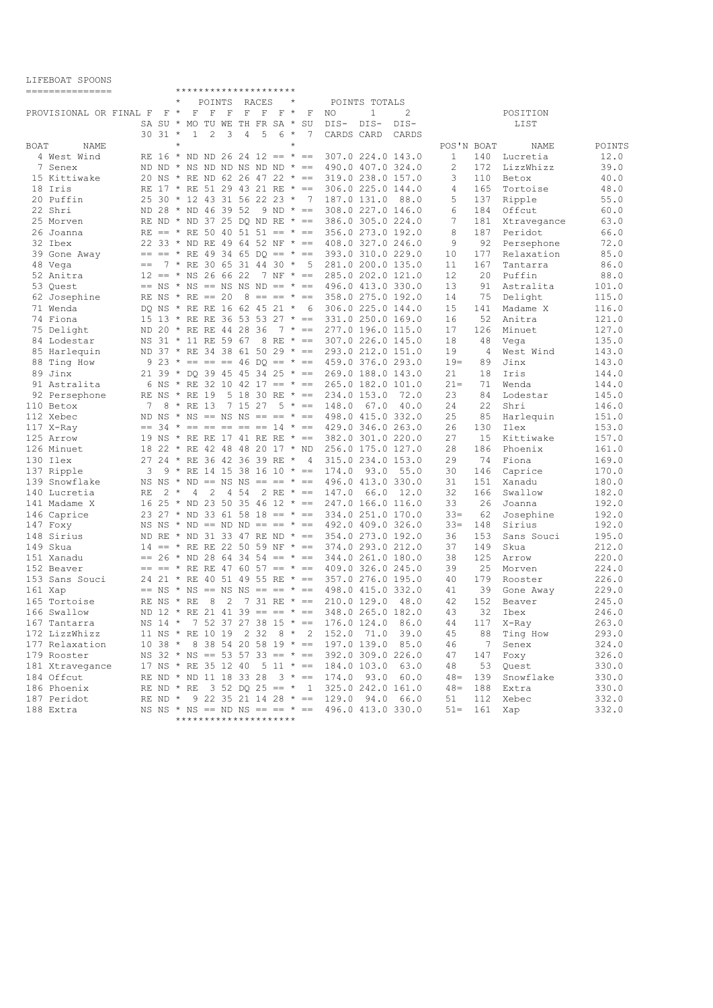| PILPDONI DEAGMO<br>=============== |      |                    |                        |         |                       |                            | *********************                                           |                                  |                                                                      |                                        |       |                  |                |                     |                |
|------------------------------------|------|--------------------|------------------------|---------|-----------------------|----------------------------|-----------------------------------------------------------------|----------------------------------|----------------------------------------------------------------------|----------------------------------------|-------|------------------|----------------|---------------------|----------------|
|                                    |      |                    |                        | POINTS  |                       | RACES                      |                                                                 |                                  |                                                                      | POINTS TOTALS                          |       |                  |                |                     |                |
| PROVISIONAL OR FINAL F             |      | F                  | $\star$<br>$\mathbf F$ | F       | F                     | $\mathbf F$<br>$\mathbf F$ | F                                                               | $\star$<br>F                     | NO.                                                                  | $\mathbf{1}$                           | 2     |                  |                | POSITION            |                |
|                                    |      | SA SU *            |                        |         |                       |                            | MO TU WE TH FR SA *                                             | SU                               | DIS-                                                                 | $DIS-$                                 | DIS-  |                  |                | LIST                |                |
|                                    |      | $30.31$ *          | $\mathbf{1}$           | 2       | 3                     | 5<br>$\overline{4}$        | $6 *$                                                           | 7                                | CARDS CARD                                                           |                                        | CARDS |                  |                |                     |                |
| BOAT<br>NAME                       |      |                    | $\star$                |         |                       |                            |                                                                 | $\star$                          |                                                                      |                                        |       | POS'N BOAT       |                | NAME                | POINTS         |
| 4 West Wind                        |      |                    |                        |         |                       |                            | RE 16 $*$ ND ND 26 24 12 == $*$ ==                              |                                  |                                                                      | 307.0 224.0 143.0                      |       | $\mathbf{1}$     | 140            | Lucretia            | 12.0           |
| 7 Senex                            |      |                    |                        |         |                       |                            | ND ND $*$ NS ND ND NS ND ND $* ==$                              |                                  |                                                                      | 490.0 407.0 324.0                      |       | 2                | 172            | LizzWhizz           | 39.0           |
| 15 Kittiwake                       |      |                    |                        |         |                       |                            | 20 NS * RE ND 62 26 47 22 * ==                                  |                                  |                                                                      | 319.0 238.0 157.0                      |       | 3                | 110            | Betox               | 40.0           |
| 18 Iris                            |      |                    |                        |         |                       |                            | RE 17 * RE 51 29 43 21 RE * ==                                  |                                  |                                                                      | 306.0 225.0 144.0                      |       | $\overline{4}$   | 165            | Tortoise            | 48.0           |
| 20 Puffin                          |      |                    |                        |         |                       |                            | 25 30 * 12 43 31 56 22 23 *                                     | $7\phantom{0}$                   |                                                                      | 187.0 131.0                            | 88.0  | 5                | 137            | Ripple              | 55.0           |
| 22 Shri                            |      |                    |                        |         | ND 28 * ND 46 39 52   |                            | $9 \text{ ND } \star ==$                                        |                                  |                                                                      | 308.0 227.0 146.0                      |       | 6                | 184            | Offcut              | 60.0           |
| 25 Morven                          |      |                    |                        |         |                       |                            |                                                                 | RE ND * ND 37 25 DO ND RE * ==   |                                                                      | 386.0 305.0 224.0                      |       | 7                | 181            | Xtravegance         | 63.0           |
| 26 Joanna                          |      |                    |                        |         |                       |                            |                                                                 |                                  | RE == * RE 50 40 51 51 == * == 356.0 273.0 192.0                     |                                        |       | 8                | 187            | Peridot             | 66.0           |
| 32 Ibex                            |      |                    |                        |         |                       |                            |                                                                 |                                  | 22 33 * ND RE 49 64 52 NF * == 408.0 327.0 246.0                     |                                        |       | 9                | 92             | Persephone          | 72.0           |
| 39 Gone Away                       |      |                    |                        |         |                       |                            |                                                                 |                                  | $== == * RE 49 34 65 DO == * == 393.0 310.0 229.0$                   |                                        |       | 10               | 177            | Relaxation          | 85.0           |
| 48 Vega                            | $==$ |                    |                        |         |                       |                            |                                                                 |                                  | 7 * RE 30 65 31 44 30 * 5 281.0 200.0 135.0                          |                                        |       | 11               | 167            | Tantarra            | 86.0           |
| 52 Anitra                          |      |                    |                        |         | $12 == * NS 26 66 22$ |                            |                                                                 | 7 NF $* ==$                      |                                                                      | 285.0 202.0 121.0                      |       | 12               | 20             | Puffin              | 88.0           |
| 53 Quest                           |      |                    |                        |         |                       |                            |                                                                 |                                  | $==$ NS $\star$ NS $==$ NS NS ND $==$ $\star$ $==$ 496.0 413.0 330.0 |                                        |       | 13               | 91             | Astralita           | 101.0          |
| 62 Josephine                       |      | RE NS $*$ RE == 20 |                        |         |                       |                            |                                                                 |                                  | $8 == == * == 358.0 275.0 192.0$                                     |                                        |       | 14               | 75             | Delight             | 115.0          |
| 71 Wenda                           |      |                    |                        |         |                       |                            | DQ NS * RE RE 16 62 45 21 *                                     |                                  | 6 306.0 225.0 144.0                                                  |                                        |       | 15               | 141            | Madame X            | 116.0          |
| 74 Fiona                           |      |                    |                        |         |                       |                            |                                                                 |                                  | 15 13 * RE RE 36 53 53 27 * == 331.0 250.0 169.0                     |                                        |       | 16               | 52             | Anitra              | 121.0          |
| 75 Delight                         |      |                    |                        |         |                       | ND 20 * RE RE 44 28 36     |                                                                 | $7 * ==$                         |                                                                      | 277.0 196.0 115.0                      |       | 17               | 126            | Minuet              | 127.0          |
| 84 Lodestar                        |      |                    |                        |         |                       |                            |                                                                 |                                  | NS 31 * 11 RE 59 67 8 RE * == 307.0 226.0 145.0                      |                                        |       | 18               | 48             | Vega                | 135.0          |
| 85 Harlequin                       |      |                    |                        |         |                       |                            |                                                                 | ND 37 * RE 34 38 61 50 29 * ==   |                                                                      | 293.0 212.0 151.0                      |       | 19               | $\overline{4}$ | West Wind           | 143.0          |
| 88 Ting How                        |      |                    |                        |         |                       |                            |                                                                 |                                  | $9$ 23 $* == == 46$ DO == $* == 459.0$ 376.0 293.0                   |                                        |       | $19=$            | 89             | Jinx                | 143.0          |
| 89 Jinx                            |      |                    |                        |         |                       |                            | 21 39 * DO 39 45 45 34 25 * ==                                  |                                  |                                                                      | 269.0 188.0 143.0                      |       | 21               | 18             | Iris                | 144.0          |
| 91 Astralita                       |      |                    |                        |         |                       |                            | 6 NS * RE 32 10 42 17 == * ==                                   |                                  |                                                                      | 265.0 182.0 101.0                      |       | $21 -$           | 71             | Wenda               | 144.0          |
| 92 Persephone                      |      | RE NS * RE 19      |                        |         |                       |                            | 5 18 30 RE $* ==$                                               |                                  |                                                                      | 234.0 153.0                            | 72.0  | 23               | 84             | Lodestar            | 145.0          |
| 110 Betox                          | 7    | 8                  |                        | * RE 13 |                       | 7 15 27                    |                                                                 | $5 * ==$                         | 148.0                                                                | 67.0                                   | 40.0  | 24               | 22             | Shri                | 146.0          |
| 112 Xebec                          |      |                    |                        |         |                       |                            | ND NS $*$ NS == NS NS == == $*$ ==                              |                                  |                                                                      | 498.0 415.0 332.0                      |       | 25               | 85             | Harlequin           | 151.0          |
| 117 X-Ray                          |      |                    |                        |         |                       |                            | $== 34 \times == == == == == 14 \times ==$                      |                                  |                                                                      | 429.0 346.0 263.0                      |       | 26               | 130            | Ilex                | 153.0          |
| 125 Arrow                          |      |                    |                        |         |                       |                            | 19 NS * RE RE 17 41 RE RE * ==                                  |                                  |                                                                      | 382.0 301.0 220.0                      |       | 27               | 15             | Kittiwake           | 157.0          |
| 126 Minuet                         |      |                    |                        |         |                       |                            | 18 22 * RE 42 48 48 20 17 * ND                                  |                                  |                                                                      | 256.0 175.0 127.0                      |       | 28               | 186            | Phoenix             | 161.0          |
| 130 Ilex                           |      |                    |                        |         |                       |                            | 27 24 * RE 36 42 36 39 RE *                                     | 4                                |                                                                      | 315.0 234.0 153.0                      |       | 29               | 74             | Fiona               | 169.0          |
| 137 Ripple                         | 3    |                    |                        |         |                       |                            | $9 * RE$ 14 15 38 16 10 $* ==$                                  |                                  | 174.0                                                                | 93.0                                   | 55.0  | 30               | 146            | Caprice             | 170.0          |
| 139 Snowflake                      |      |                    |                        |         |                       |                            | NS NS $*$ ND == NS NS == == $*$ ==                              |                                  |                                                                      | 496.0 413.0 330.0                      |       | 31               | 151            | Xanadu              | 180.0          |
| 140 Lucretia                       | RE   | $2 *$              | 4                      | 2       | 4 5 4                 |                            | 2 RE $* ==$                                                     |                                  | 147.0                                                                | 66.0                                   | 12.0  | 32               | 166            | Swallow             | 182.0          |
| 141 Madame X                       | 16   | $25 * ND$          |                        | 23      | 50                    |                            | $35\;46\;12 \;* ==$                                             |                                  |                                                                      | 247.0 166.0 116.0<br>334.0 251.0 170.0 |       | 33               | 26             | Joanna              | 192.0<br>192.0 |
| 146 Caprice<br>147 Foxy            | ΝS   |                    |                        |         |                       |                            | 23 27 * ND 33 61 58 18 == * ==<br>$NS * ND == ND ND == == * ==$ |                                  | 492.0 409.0 326.0                                                    |                                        |       | $33 =$<br>$33 =$ | 62<br>148      | Josephine<br>Sirius | 192.0          |
| 148 Sirius                         |      |                    |                        |         |                       |                            | ND RE * ND 31 33 47 RE ND * ==                                  |                                  |                                                                      | 354.0 273.0 192.0                      |       | 36               | 153            | Sans Souci          | 195.0          |
| 149 Skua                           | 14   | $== * RE RE$       |                        |         |                       |                            | 22 50 59 NF $* ==$                                              |                                  |                                                                      | 374.0 293.0 212.0                      |       | 37               | 149            | Skua                | 212.0          |
| 151 Xanadu                         |      |                    |                        |         |                       |                            |                                                                 | $== 26$ * ND 28 64 34 54 == * == |                                                                      | 344.0 261.0 180.0                      |       | 38               | 125            | Arrow               | 220.0          |
| 152 Beaver                         |      | $== * RE RE$       |                        |         |                       |                            | $476057 == * ==$                                                |                                  | 409.0 326.0 245.0                                                    |                                        |       | 39               | 25             | Morven              | 224.0          |
| 153 Sans Souci                     |      |                    |                        |         |                       |                            | 24 21 * RE 40 51 49 55 RE * ==                                  |                                  |                                                                      | 357.0 276.0 195.0                      |       | 40               | 179            | Rooster             | 226.0          |
| 161 Xap                            | $==$ | ΝS                 |                        |         |                       |                            |                                                                 |                                  | * NS == NS NS == == * == 498.0 415.0 332.0                           |                                        |       | 41               | 39             | Gone Away           | 229.0          |
| 165 Tortoise                       |      | RE NS              | * RE                   | 8       | 2                     |                            | 7 31 RE $* ==$                                                  |                                  |                                                                      | 210.0 129.0                            | 48.0  | 42               | 152            | Beaver              | 245.0          |
| 166 Swallow                        |      |                    |                        |         |                       |                            | ND 12 $*$ RE 21 41 39 == == $*$ ==                              |                                  |                                                                      | 348.0 265.0 182.0                      |       | 43               | 32             | Ibex                | 246.0          |
| 167 Tantarra                       |      |                    |                        |         |                       |                            | NS 14 * 7 52 37 27 38 15 * ==                                   |                                  |                                                                      | 176.0 124.0 86.0                       |       | 44               |                | 117 X-Ray           | 263.0          |
| 172 LizzWhizz                      |      |                    |                        |         |                       |                            |                                                                 |                                  | 11 NS * RE 10 19 2 32 8 * 2 152.0 71.0 39.0                          |                                        |       | 45               |                | 88 Ting How         | 293.0          |
| 177 Relaxation                     |      |                    |                        |         |                       |                            |                                                                 |                                  | $10$ 38 * 8 38 54 20 58 19 * == 197.0 139.0 85.0                     |                                        |       | 46               | 7              | Senex               | 324.0          |
| 179 Rooster                        |      |                    |                        |         |                       |                            |                                                                 |                                  | NS 32 * NS == 53 57 33 == * == 392.0 309.0 226.0                     |                                        |       | 47               | 147            | Foxy                | 326.0          |
| 181 Xtravegance                    |      |                    |                        |         |                       |                            |                                                                 |                                  | 17 NS * RE 35 12 40 5 11 * == 184.0 103.0 63.0                       |                                        |       | 48               | 53             | Quest               | 330.0          |
| 184 Offcut                         |      |                    |                        |         |                       |                            |                                                                 |                                  | RE ND * ND 11 18 33 28 3 * == 174.0 93.0                             |                                        | 60.0  | $48 =$           |                | 139 Snowflake       | 330.0          |
| 186 Phoenix                        |      |                    |                        |         |                       |                            |                                                                 |                                  | RE ND * RE 3 52 DQ 25 == * 1 325.0 242.0 161.0                       |                                        |       | $48 =$           |                | 188 Extra           | 330.0          |
| 187 Peridot                        |      |                    |                        |         |                       |                            |                                                                 |                                  | RE ND * 9 22 35 21 14 28 * == 129.0 94.0 66.0                        |                                        |       | 51               |                | 112 Xebec           | 332.0          |
| 188 Extra                          |      |                    |                        |         |                       |                            |                                                                 |                                  | NS NS * NS == ND NS == == * == 496.0 413.0 330.0                     |                                        |       |                  | $51 = 161$ Xap |                     | 332.0          |
|                                    |      |                    |                        |         |                       |                            | *********************                                           |                                  |                                                                      |                                        |       |                  |                |                     |                |

LIFEBOAT SPOONS